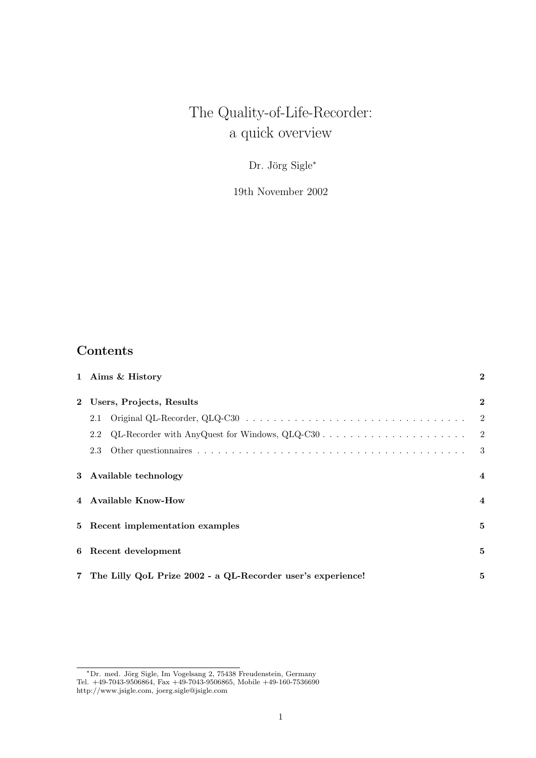# The Quality-of-Life-Recorder: a quick overview

Dr. Jörg Sigle<sup>\*</sup>

19th November 2002

### Contents

|              | 1 Aims & History                                              | $\bf{2}$                |
|--------------|---------------------------------------------------------------|-------------------------|
| $\mathbf{2}$ | Users, Projects, Results                                      | $\overline{2}$          |
|              | 2.1                                                           | $\overline{2}$          |
|              | 2.2                                                           | $\overline{2}$          |
|              | 2.3                                                           | 3                       |
|              | 3 Available technology                                        | $\overline{\mathbf{4}}$ |
|              | 4 Available Know-How                                          | $\overline{4}$          |
|              | 5 Recent implementation examples                              | 5                       |
|              | 6 Recent development                                          | 5                       |
|              | 7 The Lilly QoL Prize 2002 - a QL-Recorder user's experience! | 5                       |

<sup>∗</sup>Dr. med. J¨org Sigle, Im Vogelsang 2, 75438 Freudenstein, Germany Tel. +49-7043-9506864, Fax +49-7043-9506865, Mobile +49-160-7536690 http://www.jsigle.com, joerg.sigle@jsigle.com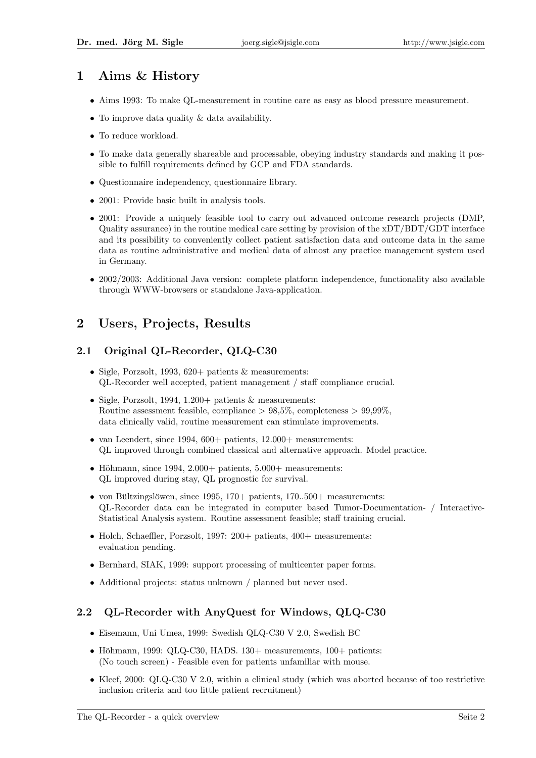# 1 Aims & History

- Aims 1993: To make QL-measurement in routine care as easy as blood pressure measurement.
- To improve data quality & data availability.
- To reduce workload.
- To make data generally shareable and processable, obeying industry standards and making it possible to fulfill requirements defined by GCP and FDA standards.
- Questionnaire independency, questionnaire library.
- 2001: Provide basic built in analysis tools.
- 2001: Provide a uniquely feasible tool to carry out advanced outcome research projects (DMP, Quality assurance) in the routine medical care setting by provision of the xDT/BDT/GDT interface and its possibility to conveniently collect patient satisfaction data and outcome data in the same data as routine administrative and medical data of almost any practice management system used in Germany.
- 2002/2003: Additional Java version: complete platform independence, functionality also available through WWW-browsers or standalone Java-application.

### 2 Users, Projects, Results

### 2.1 Original QL-Recorder, QLQ-C30

- Sigle, Porzsolt, 1993, 620+ patients & measurements: QL-Recorder well accepted, patient management / staff compliance crucial.
- Sigle, Porzsolt, 1994, 1.200+ patients & measurements: Routine assessment feasible, compliance  $> 98.5\%$ , completeness  $> 99.99\%$ . data clinically valid, routine measurement can stimulate improvements.
- van Leendert, since 1994,  $600+$  patients,  $12.000+$  measurements: QL improved through combined classical and alternative approach. Model practice.
- Höhmann, since 1994, 2.000+ patients,  $5.000+$  measurements: QL improved during stay, QL prognostic for survival.
- von Bültzingslöwen, since 1995, 170+ patients, 170..500+ measurements: QL-Recorder data can be integrated in computer based Tumor-Documentation- / Interactive-Statistical Analysis system. Routine assessment feasible; staff training crucial.
- Holch, Schaeffler, Porzsolt, 1997: 200+ patients, 400+ measurements: evaluation pending.
- Bernhard, SIAK, 1999: support processing of multicenter paper forms.
- Additional projects: status unknown / planned but never used.

### 2.2 QL-Recorder with AnyQuest for Windows, QLQ-C30

- Eisemann, Uni Umea, 1999: Swedish QLQ-C30 V 2.0, Swedish BC
- Höhmann, 1999: QLQ-C30, HADS. 130+ measurements,  $100+$  patients: (No touch screen) - Feasible even for patients unfamiliar with mouse.
- Kleef, 2000: QLQ-C30 V 2.0, within a clinical study (which was aborted because of too restrictive inclusion criteria and too little patient recruitment)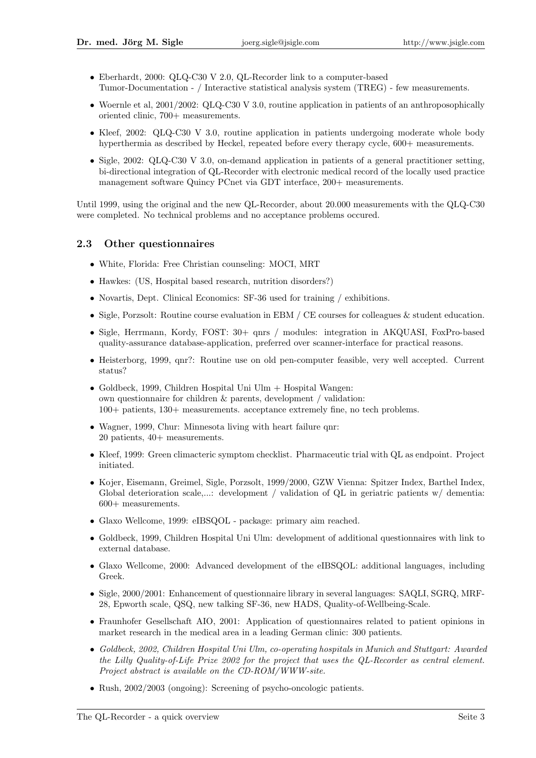- Eberhardt, 2000: QLQ-C30 V 2.0, QL-Recorder link to a computer-based Tumor-Documentation - / Interactive statistical analysis system (TREG) - few measurements.
- Woernle et al, 2001/2002: QLQ-C30 V 3.0, routine application in patients of an anthroposophically oriented clinic, 700+ measurements.
- Kleef, 2002: QLQ-C30 V 3.0, routine application in patients undergoing moderate whole body hyperthermia as described by Heckel, repeated before every therapy cycle, 600+ measurements.
- Sigle, 2002: QLQ-C30 V 3.0, on-demand application in patients of a general practitioner setting, bi-directional integration of QL-Recorder with electronic medical record of the locally used practice management software Quincy PCnet via GDT interface, 200+ measurements.

Until 1999, using the original and the new QL-Recorder, about 20.000 measurements with the QLQ-C30 were completed. No technical problems and no acceptance problems occured.

#### 2.3 Other questionnaires

- White, Florida: Free Christian counseling: MOCI, MRT
- Hawkes: (US, Hospital based research, nutrition disorders?)
- Novartis, Dept. Clinical Economics: SF-36 used for training / exhibitions.
- Sigle, Porzsolt: Routine course evaluation in EBM / CE courses for colleagues & student education.
- Sigle, Herrmann, Kordy, FOST: 30+ qnrs / modules: integration in AKQUASI, FoxPro-based quality-assurance database-application, preferred over scanner-interface for practical reasons.
- Heisterborg, 1999, qnr?: Routine use on old pen-computer feasible, very well accepted. Current status?
- Goldbeck, 1999, Children Hospital Uni Ulm + Hospital Wangen: own questionnaire for children & parents, development / validation: 100+ patients, 130+ measurements. acceptance extremely fine, no tech problems.
- Wagner, 1999, Chur: Minnesota living with heart failure qnr: 20 patients, 40+ measurements.
- Kleef, 1999: Green climacteric symptom checklist. Pharmaceutic trial with QL as endpoint. Project initiated.
- Kojer, Eisemann, Greimel, Sigle, Porzsolt, 1999/2000, GZW Vienna: Spitzer Index, Barthel Index, Global deterioration scale,...: development / validation of QL in geriatric patients w/ dementia: 600+ measurements.
- Glaxo Wellcome, 1999: eIBSQOL package: primary aim reached.
- Goldbeck, 1999, Children Hospital Uni Ulm: development of additional questionnaires with link to external database.
- Glaxo Wellcome, 2000: Advanced development of the eIBSQOL: additional languages, including Greek.
- Sigle, 2000/2001: Enhancement of questionnaire library in several languages: SAQLI, SGRQ, MRF-28, Epworth scale, QSQ, new talking SF-36, new HADS, Quality-of-Wellbeing-Scale.
- Fraunhofer Gesellschaft AIO, 2001: Application of questionnaires related to patient opinions in market research in the medical area in a leading German clinic: 300 patients.
- Goldbeck, 2002, Children Hospital Uni Ulm, co-operating hospitals in Munich and Stuttgart: Awarded the Lilly Quality-of-Life Prize 2002 for the project that uses the QL-Recorder as central element. Project abstract is available on the CD-ROM/WWW-site.
- Rush, 2002/2003 (ongoing): Screening of psycho-oncologic patients.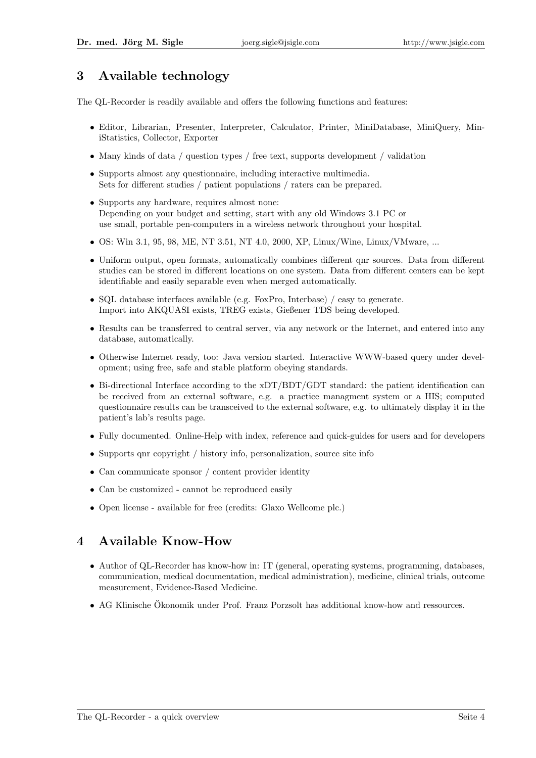# 3 Available technology

The QL-Recorder is readily available and offers the following functions and features:

- Editor, Librarian, Presenter, Interpreter, Calculator, Printer, MiniDatabase, MiniQuery, MiniStatistics, Collector, Exporter
- Many kinds of data / question types / free text, supports development / validation
- Supports almost any questionnaire, including interactive multimedia. Sets for different studies / patient populations / raters can be prepared.
- Supports any hardware, requires almost none: Depending on your budget and setting, start with any old Windows 3.1 PC or use small, portable pen-computers in a wireless network throughout your hospital.
- OS: Win 3.1, 95, 98, ME, NT 3.51, NT 4.0, 2000, XP, Linux/Wine, Linux/VMware, ...
- Uniform output, open formats, automatically combines different qnr sources. Data from different studies can be stored in different locations on one system. Data from different centers can be kept identifiable and easily separable even when merged automatically.
- SQL database interfaces available (e.g. FoxPro, Interbase) / easy to generate. Import into AKQUASI exists, TREG exists, Gießener TDS being developed.
- Results can be transferred to central server, via any network or the Internet, and entered into any database, automatically.
- Otherwise Internet ready, too: Java version started. Interactive WWW-based query under development; using free, safe and stable platform obeying standards.
- Bi-directional Interface according to the xDT/BDT/GDT standard: the patient identification can be received from an external software, e.g. a practice managment system or a HIS; computed questionnaire results can be transceived to the external software, e.g. to ultimately display it in the patient's lab's results page.
- Fully documented. Online-Help with index, reference and quick-guides for users and for developers
- Supports qnr copyright / history info, personalization, source site info
- Can communicate sponsor / content provider identity
- Can be customized cannot be reproduced easily
- Open license available for free (credits: Glaxo Wellcome plc.)

# 4 Available Know-How

- Author of QL-Recorder has know-how in: IT (general, operating systems, programming, databases, communication, medical documentation, medical administration), medicine, clinical trials, outcome measurement, Evidence-Based Medicine.
- AG Klinische Ökonomik under Prof. Franz Porzsolt has additional know-how and ressources.